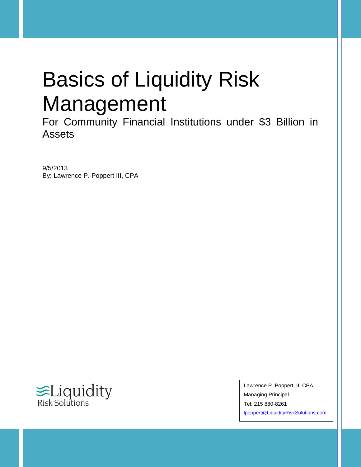# Basics of Liquidity Risk Management

For Community Financial Institutions under \$3 Billion in Assets

9/5/2013 By: Lawrence P. Poppert III, CPA



Lawrence P. Poppert, III CPA Managing Principal Tel: 215 880-8261 [lpoppert@LiquidityRiskSolutions.com](mailto:lpoppert@LiquidityRiskSolutions.com)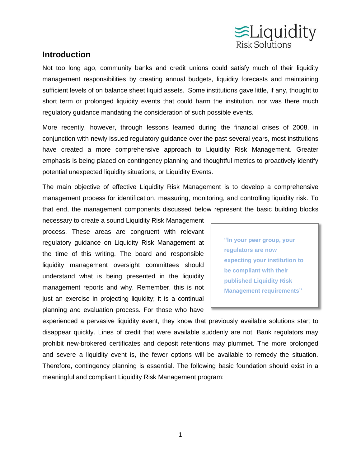

# **Introduction**

Not too long ago, community banks and credit unions could satisfy much of their liquidity management responsibilities by creating annual budgets, liquidity forecasts and maintaining sufficient levels of on balance sheet liquid assets. Some institutions gave little, if any, thought to short term or prolonged liquidity events that could harm the institution, nor was there much regulatory guidance mandating the consideration of such possible events.

More recently, however, through lessons learned during the financial crises of 2008, in conjunction with newly issued regulatory guidance over the past several years, most institutions have created a more comprehensive approach to Liquidity Risk Management. Greater emphasis is being placed on contingency planning and thoughtful metrics to proactively identify potential unexpected liquidity situations, or Liquidity Events.

The main objective of effective Liquidity Risk Management is to develop a comprehensive management process for identification, measuring, monitoring, and controlling liquidity risk. To that end, the management components discussed below represent the basic building blocks

necessary to create a sound Liquidity Risk Management process. These areas are congruent with relevant regulatory guidance on Liquidity Risk Management at the time of this writing. The board and responsible liquidity management oversight committees should understand what is being presented in the liquidity management reports and why. Remember, this is not just an exercise in projecting liquidity; it is a continual planning and evaluation process. For those who have

**"In your peer group, your regulators are now expecting your institution to be compliant with their published Liquidity Risk Management requirements"**

experienced a pervasive liquidity event, they know that previously available solutions start to disappear quickly. Lines of credit that were available suddenly are not. Bank regulators may prohibit new-brokered certificates and deposit retentions may plummet. The more prolonged and severe a liquidity event is, the fewer options will be available to remedy the situation. Therefore, contingency planning is essential. The following basic foundation should exist in a meaningful and compliant Liquidity Risk Management program: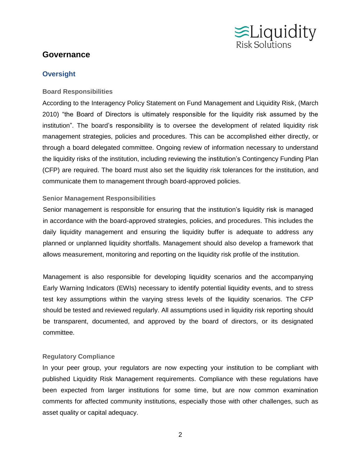

# **Governance**

#### **Oversight**

#### **Board Responsibilities**

According to the Interagency Policy Statement on Fund Management and Liquidity Risk, (March 2010) "the Board of Directors is ultimately responsible for the liquidity risk assumed by the institution". The board's responsibility is to oversee the development of related liquidity risk management strategies, policies and procedures. This can be accomplished either directly, or through a board delegated committee. Ongoing review of information necessary to understand the liquidity risks of the institution, including reviewing the institution's Contingency Funding Plan (CFP) are required. The board must also set the liquidity risk tolerances for the institution, and communicate them to management through board-approved policies.

#### **Senior Management Responsibilities**

Senior management is responsible for ensuring that the institution's liquidity risk is managed in accordance with the board-approved strategies, policies, and procedures. This includes the daily liquidity management and ensuring the liquidity buffer is adequate to address any planned or unplanned liquidity shortfalls. Management should also develop a framework that allows measurement, monitoring and reporting on the liquidity risk profile of the institution.

Management is also responsible for developing liquidity scenarios and the accompanying Early Warning Indicators (EWIs) necessary to identify potential liquidity events, and to stress test key assumptions within the varying stress levels of the liquidity scenarios. The CFP should be tested and reviewed regularly. All assumptions used in liquidity risk reporting should be transparent, documented, and approved by the board of directors, or its designated committee.

#### **Regulatory Compliance**

In your peer group, your regulators are now expecting your institution to be compliant with published Liquidity Risk Management requirements. Compliance with these regulations have been expected from larger institutions for some time, but are now common examination comments for affected community institutions, especially those with other challenges, such as asset quality or capital adequacy.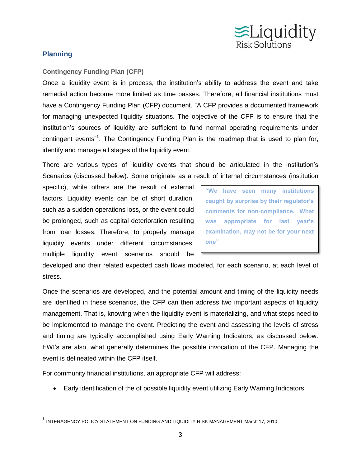

## **Planning**

#### **Contingency Funding Plan (CFP)**

Once a liquidity event is in process, the institution's ability to address the event and take remedial action become more limited as time passes. Therefore, all financial institutions must have a Contingency Funding Plan (CFP) document. "A CFP provides a documented framework for managing unexpected liquidity situations. The objective of the CFP is to ensure that the institution's sources of liquidity are sufficient to fund normal operating requirements under contingent events"<sup>1</sup>. The Contingency Funding Plan is the roadmap that is used to plan for, identify and manage all stages of the liquidity event.

There are various types of liquidity events that should be articulated in the institution's Scenarios (discussed below). Some originate as a result of internal circumstances (institution

specific), while others are the result of external factors. Liquidity events can be of short duration, such as a sudden operations loss, or the event could be prolonged, such as capital deterioration resulting from loan losses. Therefore, to properly manage liquidity events under different circumstances, multiple liquidity event scenarios should be

**"We have seen many institutions caught by surprise by their regulator's comments for non-compliance. What was appropriate for last year's examination, may not be for your next one"**

developed and their related expected cash flows modeled, for each scenario, at each level of stress.

Once the scenarios are developed, and the potential amount and timing of the liquidity needs are identified in these scenarios, the CFP can then address two important aspects of liquidity management. That is, knowing when the liquidity event is materializing, and what steps need to be implemented to manage the event. Predicting the event and assessing the levels of stress and timing are typically accomplished using Early Warning Indicators, as discussed below. EWI's are also, what generally determines the possible invocation of the CFP. Managing the event is delineated within the CFP itself.

For community financial institutions, an appropriate CFP will address:

Early identification of the of possible liquidity event utilizing Early Warning Indicators

<sup>&</sup>lt;sup>1</sup> INTERAGENCY POLICY STATEMENT ON FUNDING AND LIQUIDITY RISK MANAGEMENT March 17, 2010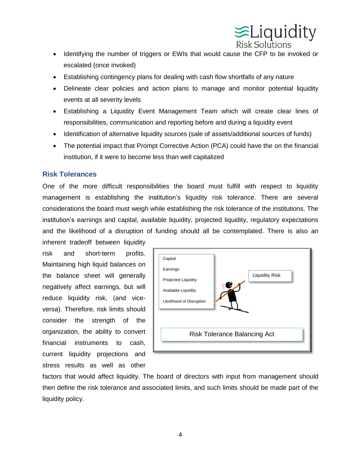

- Identifying the number of triggers or EWIs that would cause the CFP to be invoked or escalated (once invoked)
- Establishing contingency plans for dealing with cash flow shortfalls of any nature
- Delineate clear policies and action plans to manage and monitor potential liquidity events at all severity levels
- Establishing a Liquidity Event Management Team which will create clear lines of responsibilities, communication and reporting before and during a liquidity event
- Identification of alternative liquidity sources (sale of assets/additional sources of funds)
- The potential impact that Prompt Corrective Action (PCA) could have the on the financial institution, if it were to become less than well capitalized

#### **Risk Tolerances**

One of the more difficult responsibilities the board must fulfill with respect to liquidity management is establishing the institution's liquidity risk tolerance. There are several considerations the board must weigh while establishing the risk tolerance of the institutions. The institution's earnings and capital, available liquidity, projected liquidity, regulatory expectations and the likelihood of a disruption of funding should all be contemplated. There is also an

inherent tradeoff between liquidity risk and short-term profits. Maintaining high liquid balances on the balance sheet will generally negatively affect earnings, but will reduce liquidity risk, (and viceversa). Therefore, risk limits should consider the strength of the organization, the ability to convert financial instruments to cash, current liquidity projections and stress results as well as other



factors that would affect liquidity. The board of directors with input from management should then define the risk tolerance and associated limits, and such limits should be made part of the liquidity policy.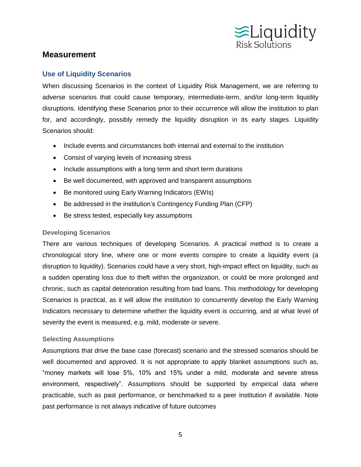

## **Measurement**

#### **Use of Liquidity Scenarios**

When discussing Scenarios in the context of Liquidity Risk Management, we are referring to adverse scenarios that could cause temporary, intermediate-term, and/or long-term liquidity disruptions. Identifying these Scenarios prior to their occurrence will allow the institution to plan for, and accordingly, possibly remedy the liquidity disruption in its early stages. Liquidity Scenarios should:

- Include events and circumstances both internal and external to the institution
- Consist of varying levels of increasing stress
- Include assumptions with a long term and short term durations
- Be well documented, with approved and transparent assumptions
- Be monitored using Early Warning Indicators (EWIs)
- Be addressed in the institution's Contingency Funding Plan (CFP)
- Be stress tested, especially key assumptions

#### **Developing Scenarios**

There are various techniques of developing Scenarios. A practical method is to create a chronological story line, where one or more events conspire to create a liquidity event (a disruption to liquidity). Scenarios could have a very short, high-impact effect on liquidity, such as a sudden operating loss due to theft within the organization, or could be more prolonged and chronic, such as capital deterioration resulting from bad loans. This methodology for developing Scenarios is practical, as it will allow the institution to concurrently develop the Early Warning Indicators necessary to determine whether the liquidity event is occurring, and at what level of severity the event is measured, e.g. mild, moderate or severe.

#### **Selecting Assumptions**

Assumptions that drive the base case (forecast) scenario and the stressed scenarios should be well documented and approved. It is not appropriate to apply blanket assumptions such as, "money markets will lose 5%, 10% and 15% under a mild, moderate and severe stress environment, respectively". Assumptions should be supported by empirical data where practicable, such as past performance, or benchmarked to a peer institution if available. Note past performance is not always indicative of future outcomes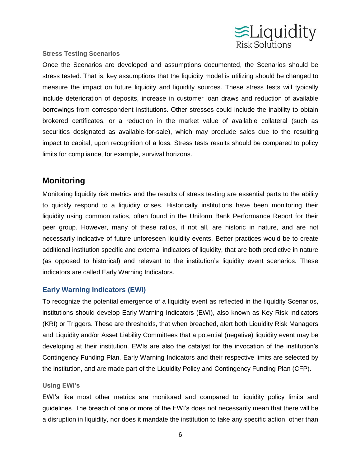

#### **Stress Testing Scenarios**

Once the Scenarios are developed and assumptions documented, the Scenarios should be stress tested. That is, key assumptions that the liquidity model is utilizing should be changed to measure the impact on future liquidity and liquidity sources. These stress tests will typically include deterioration of deposits, increase in customer loan draws and reduction of available borrowings from correspondent institutions. Other stresses could include the inability to obtain brokered certificates, or a reduction in the market value of available collateral (such as securities designated as available-for-sale), which may preclude sales due to the resulting impact to capital, upon recognition of a loss. Stress tests results should be compared to policy limits for compliance, for example, survival horizons.

# **Monitoring**

Monitoring liquidity risk metrics and the results of stress testing are essential parts to the ability to quickly respond to a liquidity crises. Historically institutions have been monitoring their liquidity using common ratios, often found in the Uniform Bank Performance Report for their peer group. However, many of these ratios, if not all, are historic in nature, and are not necessarily indicative of future unforeseen liquidity events. Better practices would be to create additional institution specific and external indicators of liquidity, that are both predictive in nature (as opposed to historical) and relevant to the institution's liquidity event scenarios. These indicators are called Early Warning Indicators.

## **Early Warning Indicators (EWI)**

To recognize the potential emergence of a liquidity event as reflected in the liquidity Scenarios, institutions should develop Early Warning Indicators (EWI), also known as Key Risk Indicators (KRI) or Triggers. These are thresholds, that when breached, alert both Liquidity Risk Managers and Liquidity and/or Asset Liability Committees that a potential (negative) liquidity event may be developing at their institution. EWIs are also the catalyst for the invocation of the institution's Contingency Funding Plan. Early Warning Indicators and their respective limits are selected by the institution, and are made part of the Liquidity Policy and Contingency Funding Plan (CFP).

#### **Using EWI's**

EWI's like most other metrics are monitored and compared to liquidity policy limits and guidelines. The breach of one or more of the EWI's does not necessarily mean that there will be a disruption in liquidity, nor does it mandate the institution to take any specific action, other than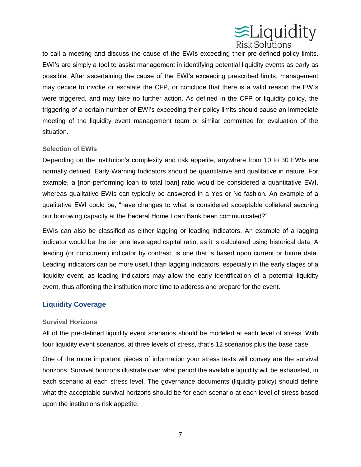

to call a meeting and discuss the cause of the EWIs exceeding their pre-defined policy limits. EWI's are simply a tool to assist management in identifying potential liquidity events as early as possible. After ascertaining the cause of the EWI's exceeding prescribed limits, management may decide to invoke or escalate the CFP, or conclude that there is a valid reason the EWIs were triggered, and may take no further action. As defined in the CFP or liquidity policy, the triggering of a certain number of EWI's exceeding their policy limits should cause an immediate meeting of the liquidity event management team or similar committee for evaluation of the situation.

#### **Selection of EWIs**

Depending on the institution's complexity and risk appetite, anywhere from 10 to 30 EWIs are normally defined. Early Warning Indicators should be quantitative and qualitative in nature. For example, a [non-performing loan to total loan] ratio would be considered a quantitative EWI, whereas qualitative EWIs can typically be answered in a Yes or No fashion. An example of a qualitative EWI could be, "have changes to what is considered acceptable collateral securing our borrowing capacity at the Federal Home Loan Bank been communicated?"

EWIs can also be classified as either lagging or leading indicators. An example of a lagging indicator would be the tier one leveraged capital ratio, as it is calculated using historical data. A leading (or concurrent) indicator by contrast, is one that is based upon current or future data. Leading indicators can be more useful than lagging indicators, especially in the early stages of a liquidity event, as leading indicators may allow the early identification of a potential liquidity event, thus affording the institution more time to address and prepare for the event.

#### **Liquidity Coverage**

#### **Survival Horizons**

All of the pre-defined liquidity event scenarios should be modeled at each level of stress. With four liquidity event scenarios, at three levels of stress, that's 12 scenarios plus the base case.

One of the more important pieces of information your stress tests will convey are the survival horizons. Survival horizons illustrate over what period the available liquidity will be exhausted, in each scenario at each stress level. The governance documents (liquidity policy) should define what the acceptable survival horizons should be for each scenario at each level of stress based upon the institutions risk appetite.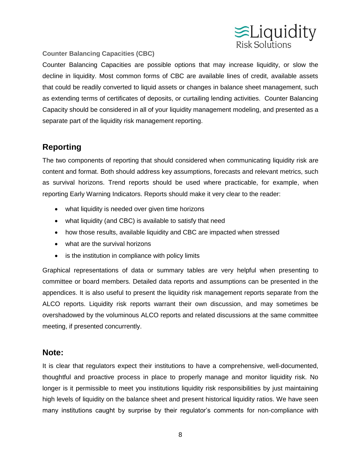

#### **Counter Balancing Capacities (CBC)**

Counter Balancing Capacities are possible options that may increase liquidity, or slow the decline in liquidity. Most common forms of CBC are available lines of credit, available assets that could be readily converted to liquid assets or changes in balance sheet management, such as extending terms of certificates of deposits, or curtailing lending activities. Counter Balancing Capacity should be considered in all of your liquidity management modeling, and presented as a separate part of the liquidity risk management reporting.

# **Reporting**

The two components of reporting that should considered when communicating liquidity risk are content and format. Both should address key assumptions, forecasts and relevant metrics, such as survival horizons. Trend reports should be used where practicable, for example, when reporting Early Warning Indicators. Reports should make it very clear to the reader:

- what liquidity is needed over given time horizons
- what liquidity (and CBC) is available to satisfy that need
- how those results, available liquidity and CBC are impacted when stressed
- what are the survival horizons
- is the institution in compliance with policy limits

Graphical representations of data or summary tables are very helpful when presenting to committee or board members. Detailed data reports and assumptions can be presented in the appendices. It is also useful to present the liquidity risk management reports separate from the ALCO reports. Liquidity risk reports warrant their own discussion, and may sometimes be overshadowed by the voluminous ALCO reports and related discussions at the same committee meeting, if presented concurrently.

# **Note:**

It is clear that regulators expect their institutions to have a comprehensive, well-documented, thoughtful and proactive process in place to properly manage and monitor liquidity risk. No longer is it permissible to meet you institutions liquidity risk responsibilities by just maintaining high levels of liquidity on the balance sheet and present historical liquidity ratios. We have seen many institutions caught by surprise by their regulator's comments for non-compliance with